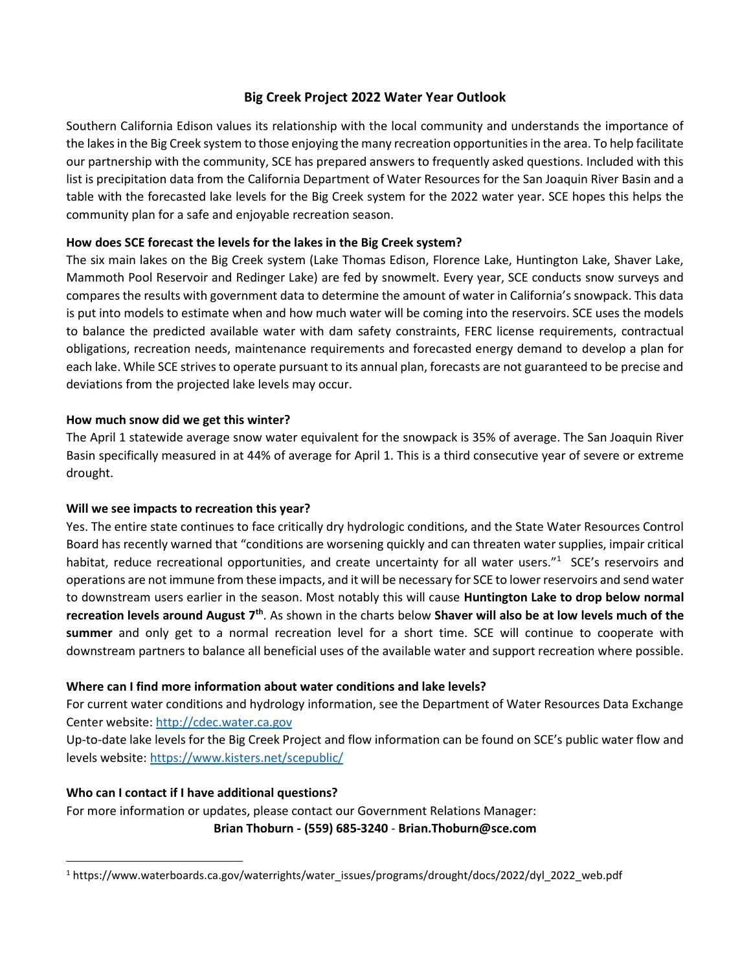# Big Creek Project 2022 Water Year Outlook

Southern California Edison values its relationship with the local community and understands the importance of the lakes in the Big Creek system to those enjoying the many recreation opportunities in the area. To help facilitate our partnership with the community, SCE has prepared answers to frequently asked questions. Included with this list is precipitation data from the California Department of Water Resources for the San Joaquin River Basin and a table with the forecasted lake levels for the Big Creek system for the 2022 water year. SCE hopes this helps the community plan for a safe and enjoyable recreation season.

## How does SCE forecast the levels for the lakes in the Big Creek system?

The six main lakes on the Big Creek system (Lake Thomas Edison, Florence Lake, Huntington Lake, Shaver Lake, Mammoth Pool Reservoir and Redinger Lake) are fed by snowmelt. Every year, SCE conducts snow surveys and compares the results with government data to determine the amount of water in California's snowpack. This data is put into models to estimate when and how much water will be coming into the reservoirs. SCE uses the models to balance the predicted available water with dam safety constraints, FERC license requirements, contractual obligations, recreation needs, maintenance requirements and forecasted energy demand to develop a plan for each lake. While SCE strives to operate pursuant to its annual plan, forecasts are not guaranteed to be precise and deviations from the projected lake levels may occur.

# How much snow did we get this winter?

The April 1 statewide average snow water equivalent for the snowpack is 35% of average. The San Joaquin River Basin specifically measured in at 44% of average for April 1. This is a third consecutive year of severe or extreme drought.

## Will we see impacts to recreation this year?

Yes. The entire state continues to face critically dry hydrologic conditions, and the State Water Resources Control Board has recently warned that "conditions are worsening quickly and can threaten water supplies, impair critical habitat, reduce recreational opportunities, and create uncertainty for all water users."<sup>1</sup> SCE's reservoirs and operations are not immune from these impacts, and it will be necessary for SCE to lower reservoirs and send water to downstream users earlier in the season. Most notably this will cause Huntington Lake to drop below normal recreation levels around August 7<sup>th</sup>. As shown in the charts below Shaver will also be at low levels much of the summer and only get to a normal recreation level for a short time. SCE will continue to cooperate with downstream partners to balance all beneficial uses of the available water and support recreation where possible.

## Where can I find more information about water conditions and lake levels?

For current water conditions and hydrology information, see the Department of Water Resources Data Exchange Center website: http://cdec.water.ca.gov

Up-to-date lake levels for the Big Creek Project and flow information can be found on SCE's public water flow and levels website: https://www.kisters.net/scepublic/

# Who can I contact if I have additional questions?

For more information or updates, please contact our Government Relations Manager: Brian Thoburn - (559) 685-3240 - Brian.Thoburn@sce.com

<sup>1</sup> https://www.waterboards.ca.gov/waterrights/water\_issues/programs/drought/docs/2022/dyl\_2022\_web.pdf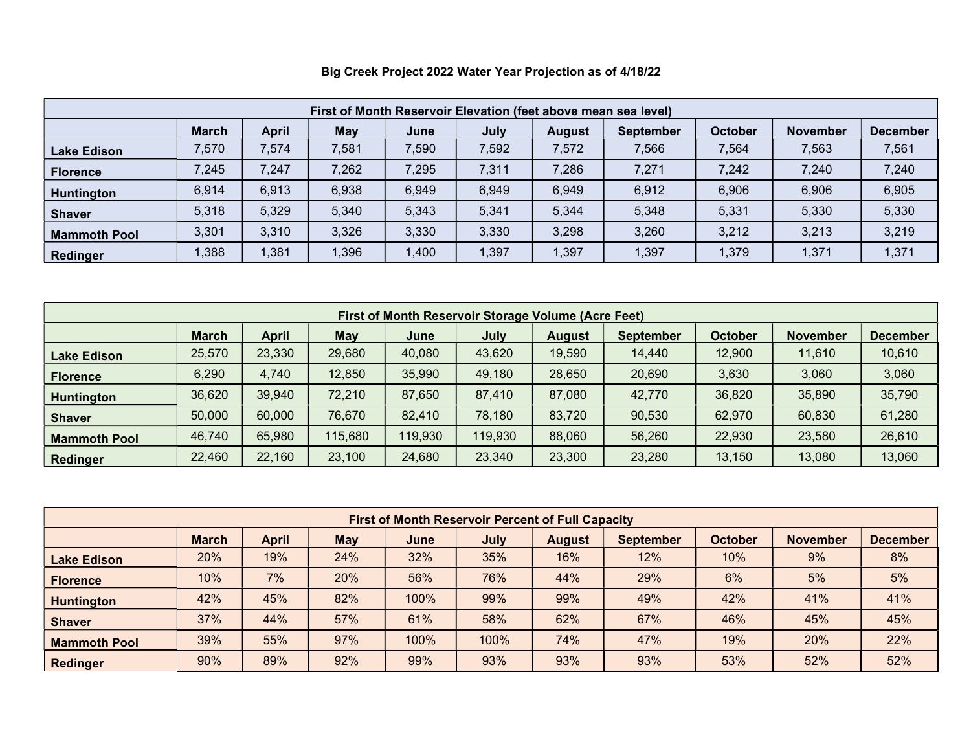| First of Month Reservoir Elevation (feet above mean sea level) |              |              |            |       |       |               |                  |         |                 |                 |
|----------------------------------------------------------------|--------------|--------------|------------|-------|-------|---------------|------------------|---------|-----------------|-----------------|
|                                                                | <b>March</b> | <b>April</b> | <b>May</b> | June  | July  | <b>August</b> | <b>September</b> | October | <b>November</b> | <b>December</b> |
| Lake Edison                                                    | 7,570        | 7,574        | 7,581      | 7,590 | 7,592 | 7,572         | 7,566            | 7,564   | 7,563           | 7,561           |
| <b>Florence</b>                                                | 7,245        | 7,247        | 7,262      | 7,295 | 7,311 | 7,286         | 7,271            | 7,242   | 7,240           | 7,240           |
| <b>Huntington</b>                                              | 6,914        | 6,913        | 6,938      | 6,949 | 6,949 | 6,949         | 6,912            | 6,906   | 6,906           | 6,905           |
| <b>Shaver</b>                                                  | 5,318        | 5,329        | 5,340      | 5,343 | 5,341 | 5,344         | 5,348            | 5,331   | 5,330           | 5,330           |
| <b>Mammoth Pool</b>                                            | 3,301        | 3,310        | 3,326      | 3,330 | 3,330 | 3,298         | 3,260            | 3,212   | 3,213           | 3,219           |
| Redinger                                                       | 1,388        | 1,381        | 1,396      | .400  | ,397  | 1,397         | 1,397            | 1,379   | 1,371           | 1,371           |

# Big Creek Project 2022 Water Year Projection as of 4/18/22

| <b>First of Month Reservoir Storage Volume (Acre Feet)</b> |              |              |            |         |         |        |                  |                |                 |                 |
|------------------------------------------------------------|--------------|--------------|------------|---------|---------|--------|------------------|----------------|-----------------|-----------------|
|                                                            | <b>March</b> | <b>April</b> | <b>May</b> | June    | July    | August | <b>September</b> | <b>October</b> | <b>November</b> | <b>December</b> |
| <b>Lake Edison</b>                                         | 25,570       | 23,330       | 29,680     | 40,080  | 43,620  | 19,590 | 14,440           | 12,900         | 11,610          | 10,610          |
| <b>Florence</b>                                            | 6,290        | 4,740        | 12,850     | 35,990  | 49,180  | 28,650 | 20,690           | 3,630          | 3,060           | 3,060           |
| <b>Huntington</b>                                          | 36,620       | 39,940       | 72,210     | 87,650  | 87,410  | 87,080 | 42,770           | 36,820         | 35,890          | 35,790          |
| <b>Shaver</b>                                              | 50,000       | 60,000       | 76,670     | 82,410  | 78,180  | 83,720 | 90,530           | 62,970         | 60,830          | 61,280          |
| <b>Mammoth Pool</b>                                        | 46,740       | 65,980       | 115,680    | 119,930 | 119,930 | 88,060 | 56,260           | 22,930         | 23,580          | 26,610          |
| Redinger                                                   | 22,460       | 22,160       | 23,100     | 24,680  | 23,340  | 23,300 | 23,280           | 13,150         | 13,080          | 13,060          |

| <b>First of Month Reservoir Percent of Full Capacity</b> |              |       |     |      |             |               |                  |                |                 |                 |
|----------------------------------------------------------|--------------|-------|-----|------|-------------|---------------|------------------|----------------|-----------------|-----------------|
|                                                          | <b>March</b> | April | May | June | <b>July</b> | <b>August</b> | <b>September</b> | <b>October</b> | <b>November</b> | <b>December</b> |
| <b>Lake Edison</b>                                       | 20%          | 19%   | 24% | 32%  | 35%         | 16%           | 12%              | 10%            | 9%              | 8%              |
| <b>Florence</b>                                          | 10%          | 7%    | 20% | 56%  | 76%         | 44%           | 29%              | 6%             | 5%              | 5%              |
| <b>Huntington</b>                                        | 42%          | 45%   | 82% | 100% | 99%         | 99%           | 49%              | 42%            | 41%             | 41%             |
| <b>Shaver</b>                                            | 37%          | 44%   | 57% | 61%  | 58%         | 62%           | 67%              | 46%            | 45%             | 45%             |
| <b>Mammoth Pool</b>                                      | 39%          | 55%   | 97% | 100% | 100%        | 74%           | 47%              | 19%            | 20%             | 22%             |
| <b>Redinger</b>                                          | 90%          | 89%   | 92% | 99%  | 93%         | 93%           | 93%              | 53%            | 52%             | 52%             |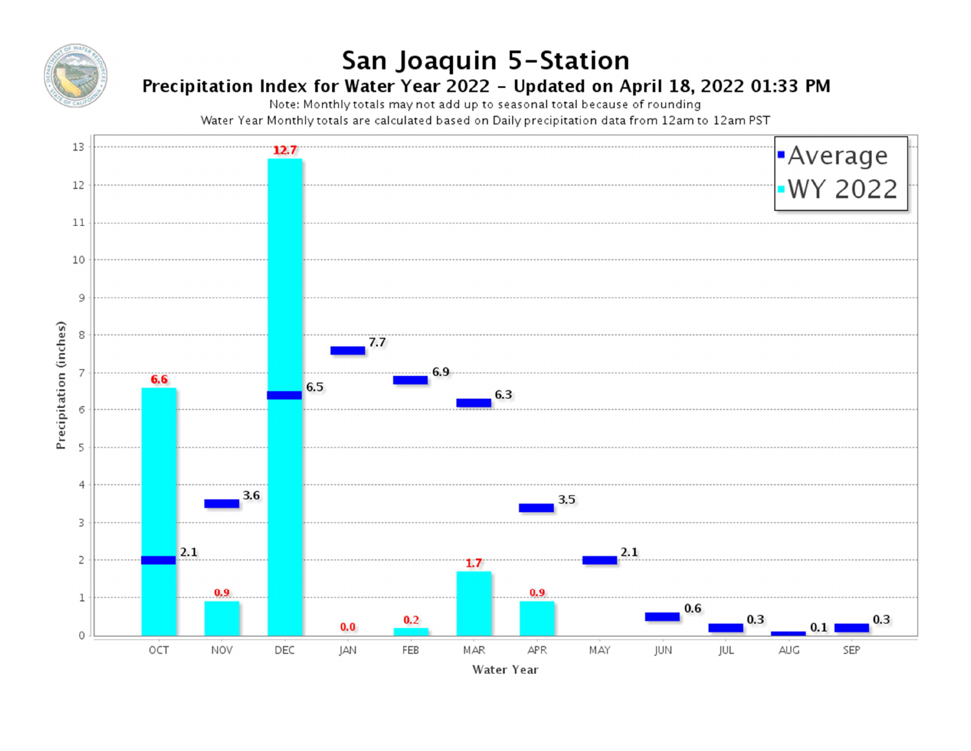

# San Joaquin 5-Station

# Precipitation Index for Water Year 2022 - Updated on April 18, 2022 01:33 PM

Note: Monthly totals may not add up to seasonal total because of rounding

Water Year Monthly totals are calculated based on Daily precipitation data from 12am to 12am PST